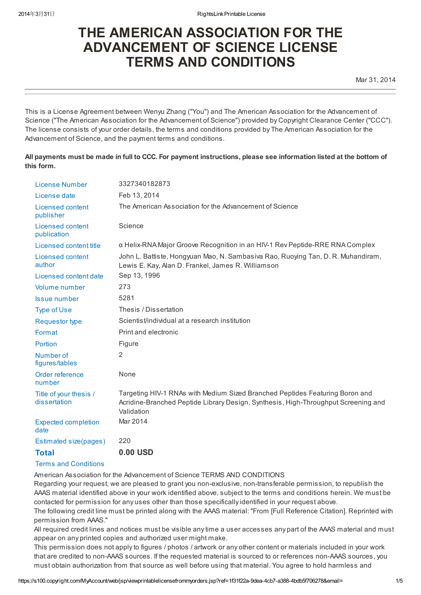# THE AMERICAN ASSOCIATION FOR THE ADVANCEMENT OF SCIENCE LICENSE TERMS AND CONDITIONS

Mar 31, 2014

This is a License Agreement between Wenyu Zhang ("You") and The American Association for the Advancement of Science ("The American Association for the Advancement of Science") provided by Copyright Clearance Center ("CCC"). The license consists of your order details, the terms and conditions provided by The American Association for the Advancement of Science, and the payment terms and conditions.

# All payments must be made in full to CCC. For payment instructions, please see information listed at the bottom of this form.

| License Number                         | 3327340182873                                                                                                                                                                    |
|----------------------------------------|----------------------------------------------------------------------------------------------------------------------------------------------------------------------------------|
| License date                           | Feb 13, 2014                                                                                                                                                                     |
| <b>Licensed content</b><br>publisher   | The American Association for the Advancement of Science                                                                                                                          |
| Licensed content<br>publication        | Science                                                                                                                                                                          |
| Licensed content title                 | α Helix-RNA Major Groove Recognition in an HIV-1 Rev Peptide-RRE RNA Complex                                                                                                     |
| <b>Licensed content</b><br>author      | John L. Battiste, Hongyuan Mao, N. Sambasiya Rao, Ruoying Tan, D. R. Muhandiram,<br>Lewis E. Kay, Alan D. Frankel, James R. Williamson                                           |
| Licensed content date                  | Sep 13, 1996                                                                                                                                                                     |
| Volume number                          | 273                                                                                                                                                                              |
| <b>Issue number</b>                    | 5281                                                                                                                                                                             |
| <b>Type of Use</b>                     | Thesis / Dissertation                                                                                                                                                            |
| <b>Requestor type</b>                  | Scientist/individual at a research institution                                                                                                                                   |
| Format                                 | Print and electronic                                                                                                                                                             |
| Portion                                | Figure                                                                                                                                                                           |
| Number of<br>figures/tables            | 2                                                                                                                                                                                |
| Order reference<br>number              | None                                                                                                                                                                             |
| Title of your thesis /<br>dissertation | Targeting HIV-1 RNAs with Medium Sized Branched Peptides Featuring Boron and<br>Acridine-Branched Peptide Library Design, Synthesis, High-Throughput Screening and<br>Validation |
| <b>Expected completion</b><br>date     | Mar 2014                                                                                                                                                                         |
| Estimated size(pages)                  | 220                                                                                                                                                                              |
| <b>Total</b>                           | 0.00 USD                                                                                                                                                                         |

## Terms and Conditions

American Association for the Advancement of Science TERMS AND CONDITIONS

Regarding your request, we are pleased to grant you non-exclusive, non-transferable permission, to republish the AAAS material identified above in your work identified above, subject to the terms and conditions herein. We must be contacted for permission for any uses other than those specifically identified in your request above.

The following credit line must be printed along with the AAAS material: "From [Full Reference Citation]. Reprinted with permission from AAAS."

All required credit lines and notices must be visible any time a user accesses any part of the AAAS material and must appear on any printed copies and authorized user might make.

This permission does not apply to figures / photos / artwork or any other content or materials included in your work that are credited to non-AAAS sources. If the requested material is sourced to or references non-AAAS sources, you must obtain authorization from that source as well before using that material. You agree to hold harmless and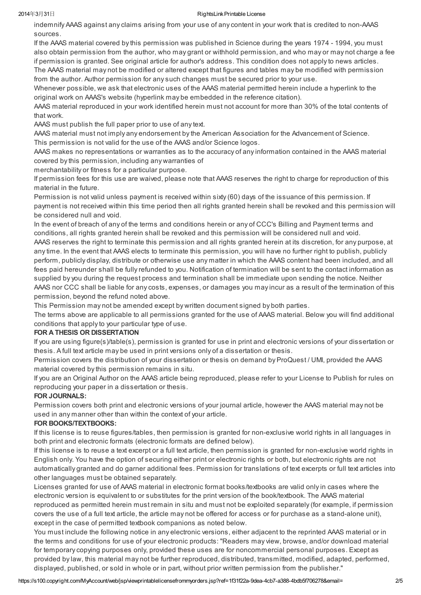#### 2014年3月31日 RightsLink Printable License

indemnify AAAS against any claims arising from your use of any content in your work that is credited to non-AAAS sources.

If the AAAS material covered by this permission was published in Science during the years 1974 - 1994, you must also obtain permission from the author, who may grant or withhold permission, and who may or may not charge a fee if permission is granted. See original article for author's address. This condition does not apply to news articles. The AAAS material may not be modified or altered except that figures and tables may be modified with permission

from the author. Author permission for any such changes must be secured prior to your use.

Whenever possible, we ask that electronic uses of the AAAS material permitted herein include a hyperlink to the original work on AAAS's website (hyperlink may be embedded in the reference citation).

AAAS material reproduced in your work identified herein must not account for more than 30% of the total contents of that work.

AAAS must publish the full paper prior to use of any text.

AAAS material must not imply any endorsement by the American Association for the Advancement of Science. This permission is not valid for the use of the AAAS and/or Science logos.

AAAS makes no representations or warranties as to the accuracy of any information contained in the AAAS material covered by this permission, including any warranties of

merchantability or fitness for a particular purpose.

If permission fees for this use are waived, please note that AAAS reserves the right to charge for reproduction of this material in the future.

Permission is not valid unless payment is received within sixty (60) days of the issuance of this permission. If payment is not received within this time period then all rights granted herein shall be revoked and this permission will be considered null and void.

In the event of breach of any of the terms and conditions herein or any of CCC's Billing and Payment terms and conditions, all rights granted herein shall be revoked and this permission will be considered null and void. AAAS reserves the right to terminate this permission and all rights granted herein at its discretion, for any purpose, at

any time. In the event that AAAS elects to terminate this permission, you will have no further right to publish, publicly perform, publicly display, distribute or otherwise use any matter in which the AAAS content had been included, and all fees paid hereunder shall be fully refunded to you. Notification of termination will be sent to the contact information as supplied by you during the request process and termination shall be immediate upon sending the notice. Neither AAAS nor CCC shall be liable for any costs, expenses, or damages you may incur as a result of the termination of this permission, beyond the refund noted above.

This Permission may not be amended except by written document signed by both parties.

The terms above are applicable to all permissions granted for the use of AAAS material. Below you will find additional conditions that apply to your particular type of use.

## FOR A THESIS OR DISSERTATION

If you are using figure(s)/table(s), permission is granted for use in print and electronic versions of your dissertation or thesis. A full text article may be used in print versions only of a dissertation or thesis.

Permission covers the distribution of your dissertation or thesis on demand by ProQuest / UMI, provided the AAAS material covered by this permission remains in situ.

If you are an Original Author on the AAAS article being reproduced, please refer to your License to Publish for rules on reproducing your paper in a dissertation or thesis.

## FOR JOURNALS:

Permission covers both print and electronic versions of your journal article, however the AAAS material may not be used in any manner other than within the context of your article.

## FOR BOOKS/TEXTBOOKS:

If this license is to reuse figures/tables, then permission is granted for non-exclusive world rights in all languages in both print and electronic formats (electronic formats are defined below).

If this license is to reuse a text excerpt or a full text article, then permission is granted for non-exclusive world rights in English only. You have the option of securing either print or electronic rights or both, but electronic rights are not automatically granted and do garner additional fees. Permission for translations of text excerpts or full text articles into other languages must be obtained separately.

Licenses granted for use of AAAS material in electronic format books/textbooks are valid only in cases where the electronic version is equivalent to or substitutes for the print version of the book/textbook. The AAAS material reproduced as permitted herein must remain in situ and must not be exploited separately (for example, if permission covers the use of a full text article, the article may not be offered for access or for purchase as a stand-alone unit), except in the case of permitted textbook companions as noted below.

You must include the following notice in any electronic versions, either adjacent to the reprinted AAAS material or in the terms and conditions for use of your electronic products: "Readers may view, browse, and/or download material for temporary copying purposes only, provided these uses are for noncommercial personal purposes. Except as provided by law, this material may not be further reproduced, distributed, transmitted, modified, adapted, performed, displayed, published, or sold in whole or in part, without prior written permission from the publisher."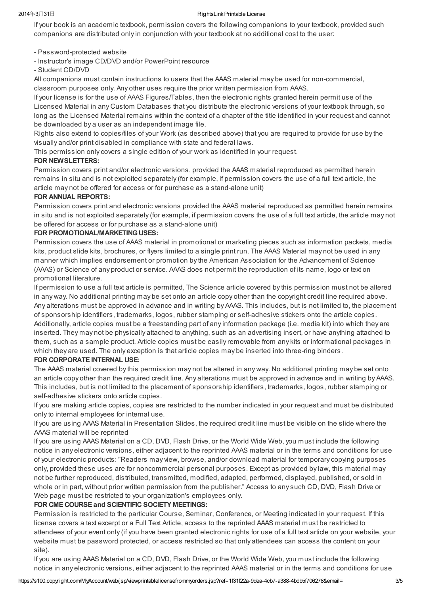#### 2014年3月31日 RightsLink Printable License

If your book is an academic textbook, permission covers the following companions to your textbook, provided such companions are distributed only in conjunction with your textbook at no additional cost to the user:

- Password-protected website
- Instructor's image CD/DVD and/or PowerPoint resource
- Student CD/DVD

All companions must contain instructions to users that the AAAS material may be used for non-commercial, classroom purposes only. Any other uses require the prior written permission from AAAS.

If your license is for the use of AAAS Figures/Tables, then the electronic rights granted herein permit use of the Licensed Material in any Custom Databases that you distribute the electronic versions of your textbook through, so long as the Licensed Material remains within the context of a chapter of the title identified in your request and cannot be downloaded by a user as an independent image file.

Rights also extend to copies/files of your Work (as described above) that you are required to provide for use by the visually and/or print disabled in compliance with state and federal laws.

This permission only covers a single edition of your work as identified in your request.

## FOR NEWSLETTERS:

Permission covers print and/or electronic versions, provided the AAAS material reproduced as permitted herein remains in situ and is not exploited separately (for example, if permission covers the use of a full text article, the article may not be offered for access or for purchase as a stand-alone unit)

## FOR ANNUAL REPORTS:

Permission covers print and electronic versions provided the AAAS material reproduced as permitted herein remains in situ and is not exploited separately (for example, if permission covers the use of a full text article, the article may not be offered for access or for purchase as a stand-alone unit)

## FOR PROMOTIONAL/MARKETING USES:

Permission covers the use of AAAS material in promotional or marketing pieces such as information packets, media kits, product slide kits, brochures, or flyers limited to a single print run. The AAAS Material may not be used in any manner which implies endorsement or promotion by the American Association for the Advancement of Science (AAAS) or Science of any product or service. AAAS does not permit the reproduction of its name, logo or text on promotional literature.

If permission to use a full text article is permitted, The Science article covered by this permission must not be altered in any way. No additional printing may be set onto an article copy other than the copyright credit line required above. Any alterations must be approved in advance and in writing by AAAS. This includes, but is not limited to, the placement of sponsorship identifiers, trademarks, logos, rubber stamping or self-adhesive stickers onto the article copies. Additionally, article copies must be a freestanding part of any information package (i.e. media kit) into which they are inserted. They may not be physically attached to anything, such as an advertising insert, or have anything attached to them, such as a sample product. Article copies must be easily removable from any kits or informational packages in which they are used. The only exception is that article copies may be inserted into three-ring binders.

# FOR CORPORATE INTERNAL USE:

The AAAS material covered by this permission may not be altered in any way. No additional printing may be set onto an article copy other than the required credit line. Any alterations must be approved in advance and in writing by AAAS. This includes, but is not limited to the placement of sponsorship identifiers, trademarks, logos, rubber stamping or self-adhesive stickers onto article copies.

If you are making article copies, copies are restricted to the number indicated in your request and must be distributed only to internal employees for internal use.

If you are using AAAS Material in Presentation Slides, the required credit line must be visible on the slide where the AAAS material will be reprinted

If you are using AAAS Material on a CD, DVD, Flash Drive, or the World Wide Web, you must include the following notice in any electronic versions, either adjacent to the reprinted AAAS material or in the terms and conditions for use of your electronic products: "Readers may view, browse, and/or download material for temporary copying purposes only, provided these uses are for noncommercial personal purposes. Except as provided by law, this material may not be further reproduced, distributed, transmitted, modified, adapted, performed, displayed, published, or sold in whole or in part, without prior written permission from the publisher." Access to any such CD, DVD, Flash Drive or Web page must be restricted to your organization's employees only.

## FOR CME COURSE and SCIENTIFIC SOCIETY MEETINGS:

Permission is restricted to the particular Course, Seminar, Conference, or Meeting indicated in your request. If this license covers a text excerpt or a Full Text Article, access to the reprinted AAAS material must be restricted to attendees of your event only (if you have been granted electronic rights for use of a full text article on your website, your website must be password protected, or access restricted so that only attendees can access the content on your site).

If you are using AAAS Material on a CD, DVD, Flash Drive, or the World Wide Web, you must include the following notice in any electronic versions, either adjacent to the reprinted AAAS material or in the terms and conditions for use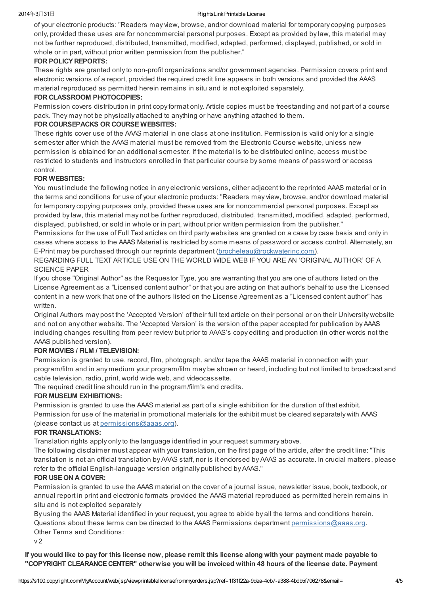#### 2014年3月31日 RightsLink Printable License

of your electronic products: "Readers may view, browse, and/or download material for temporary copying purposes only, provided these uses are for noncommercial personal purposes. Except as provided by law, this material may not be further reproduced, distributed, transmitted, modified, adapted, performed, displayed, published, or sold in whole or in part, without prior written permission from the publisher."

## FOR POLICY REPORTS:

These rights are granted only to non-profit organizations and/or government agencies. Permission covers print and electronic versions of a report, provided the required credit line appears in both versions and provided the AAAS material reproduced as permitted herein remains in situ and is not exploited separately.

#### FOR CLASSROOM PHOTOCOPIES:

Permission covers distribution in print copy format only. Article copies must be freestanding and not part of a course pack. They may not be physically attached to anything or have anything attached to them.

## FOR COURSEPACKS OR COURSE WEBSITES:

These rights cover use of the AAAS material in one class at one institution. Permission is valid only for a single semester after which the AAAS material must be removed from the Electronic Course website, unless new permission is obtained for an additional semester. If the material is to be distributed online, access must be restricted to students and instructors enrolled in that particular course by some means of password or access control.

## FOR WEBSITES:

You must include the following notice in any electronic versions, either adjacent to the reprinted AAAS material or in the terms and conditions for use of your electronic products: "Readers may view, browse, and/or download material for temporary copying purposes only, provided these uses are for noncommercial personal purposes. Except as provided by law, this material may not be further reproduced, distributed, transmitted, modified, adapted, performed, displayed, published, or sold in whole or in part, without prior written permission from the publisher."

Permissions for the use of Full Text articles on third party websites are granted on a case by case basis and only in cases where access to the AAAS Material is restricted by some means of password or access control. Alternately, an E-Print may be purchased through our reprints department [\(brocheleau@rockwaterinc.com](mailto:brocheleau@rockwaterinc.com)).

REGARDING FULL TEXT ARTICLE USE ON THE WORLD WIDE WEB IF YOU ARE AN 'ORIGINAL AUTHOR' OF A SCIENCE PAPER

If you chose "Original Author" as the Requestor Type, you are warranting that you are one of authors listed on the License Agreement as a "Licensed content author" or that you are acting on that author's behalf to use the Licensed content in a new work that one of the authors listed on the License Agreement as a "Licensed content author" has written.

Original Authors may post the 'Accepted Version' of their full text article on their personal or on their University website and not on any other website. The 'Accepted Version' is the version of the paper accepted for publication by AAAS including changes resulting from peer review but prior to AAAS's copy editing and production (in other words not the AAAS published version).

## FOR MOVIES / FILM / TELEVISION:

Permission is granted to use, record, film, photograph, and/or tape the AAAS material in connection with your program/film and in any medium your program/film may be shown or heard, including but not limited to broadcast and cable television, radio, print, world wide web, and videocassette.

The required credit line should run in the program/film's end credits.

## FOR MUSEUM EXHIBITIONS:

Permission is granted to use the AAAS material as part of a single exhibition for the duration of that exhibit. Permission for use of the material in promotional materials for the exhibit must be cleared separately with AAAS (please contact us at [permissions@aaas.org\)](mailto:permissions@aaas.org).

## FOR TRANSLATIONS:

Translation rights apply only to the language identified in your request summary above.

The following disclaimer must appear with your translation, on the first page of the article, after the credit line: "This translation is not an official translation by AAAS staff, nor is it endorsed by AAAS as accurate. In crucial matters, please refer to the official English-language version originally published by AAAS."

## FOR USE ON A COVER:

Permission is granted to use the AAAS material on the cover of a journal issue, newsletter issue, book, textbook, or annual report in print and electronic formats provided the AAAS material reproduced as permitted herein remains in situ and is not exploited separately

By using the AAAS Material identified in your request, you agree to abide by all the terms and conditions herein.

Questions about these terms can be directed to the AAAS Permissions department [permissions@aaas.org.](mailto:permissions@aaas.org)

# Other Terms and Conditions:

v 2

If you would like to pay for this license now, please remit this license along with your payment made payable to "COPYRIGHT CLEARANCE CENTER" otherwise you will be invoiced within 48 hours of the license date. Payment